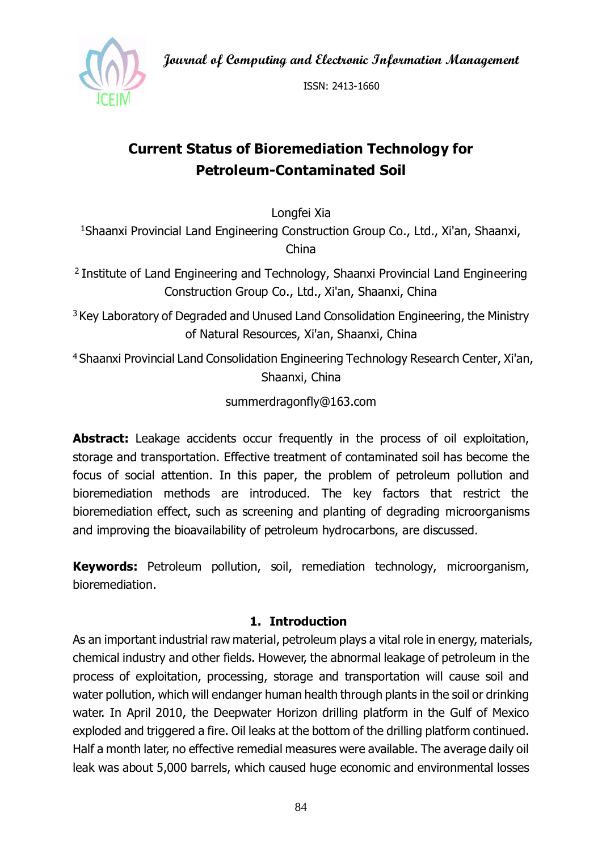**Journal of Computing and Electronic Information Management**



ISSN: 2413-1660

# **Current Status of Bioremediation Technology for Petroleum-Contaminated Soil**

Longfei Xia

<sup>1</sup>Shaanxi Provincial Land Engineering Construction Group Co., Ltd., Xi'an, Shaanxi, China

<sup>2</sup>Institute of Land Engineering and Technology, Shaanxi Provincial Land Engineering Construction Group Co., Ltd., Xi'an, Shaanxi, China

<sup>3</sup> Key Laboratory of Degraded and Unused Land Consolidation Engineering, the Ministry of Natural Resources, Xi'an, Shaanxi, China

<sup>4</sup>Shaanxi Provincial Land Consolidation Engineering Technology Research Center, Xi'an, Shaanxi, China

summerdragonfly@163.com

Abstract: Leakage accidents occur frequently in the process of oil exploitation, storage and transportation. Effective treatment of contaminated soil has become the focus of social attention. In this paper, the problem of petroleum pollution and bioremediation methods are introduced. The key factors that restrict the bioremediation effect, such as screening and planting of degrading microorganisms and improving the bioavailability of petroleum hydrocarbons, are discussed.

**Keywords:** Petroleum pollution, soil, remediation technology, microorganism, bioremediation.

#### **1. Introduction**

As an important industrial raw material, petroleum plays a vital role in energy, materials, chemical industry and other fields. However, the abnormal leakage of petroleum in the process of exploitation, processing, storage and transportation will cause soil and water pollution, which will endanger human health through plants in the soil or drinking water. In April 2010, the Deepwater Horizon drilling platform in the Gulf of Mexico exploded and triggered a fire. Oil leaks at the bottom of the drilling platform continued. Half a month later, no effective remedial measures were available. The average daily oil leak was about 5,000 barrels, which caused huge economic and environmental losses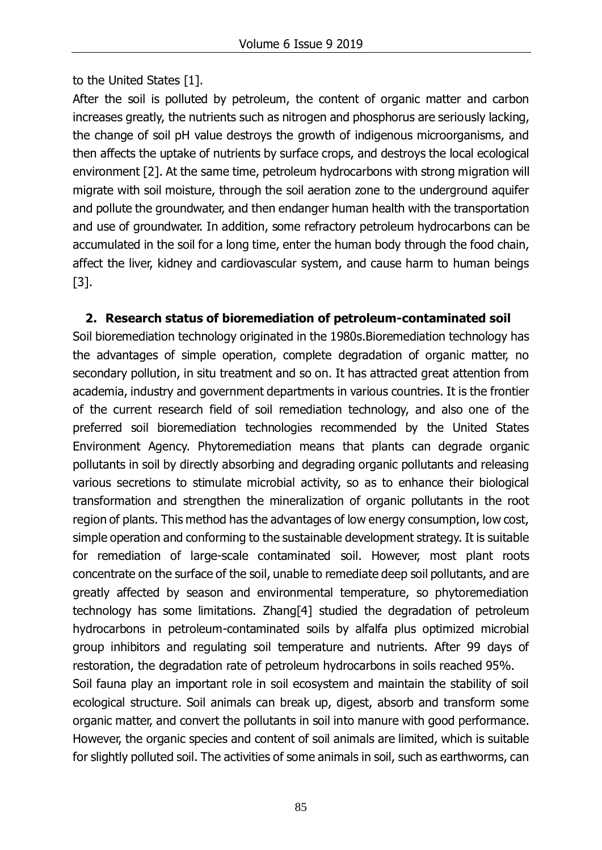to the United States [1].

After the soil is polluted by petroleum, the content of organic matter and carbon increases greatly, the nutrients such as nitrogen and phosphorus are seriously lacking, the change of soil pH value destroys the growth of indigenous microorganisms, and then affects the uptake of nutrients by surface crops, and destroys the local ecological environment [2]. At the same time, petroleum hydrocarbons with strong migration will migrate with soil moisture, through the soil aeration zone to the underground aquifer and pollute the groundwater, and then endanger human health with the transportation and use of groundwater. In addition, some refractory petroleum hydrocarbons can be accumulated in the soil for a long time, enter the human body through the food chain, affect the liver, kidney and cardiovascular system, and cause harm to human beings [3].

#### **2. Research status of bioremediation of petroleum-contaminated soil**

Soil bioremediation technology originated in the 1980s.Bioremediation technology has the advantages of simple operation, complete degradation of organic matter, no secondary pollution, in situ treatment and so on. It has attracted great attention from academia, industry and government departments in various countries. It is the frontier of the current research field of soil remediation technology, and also one of the preferred soil bioremediation technologies recommended by the United States Environment Agency. Phytoremediation means that plants can degrade organic pollutants in soil by directly absorbing and degrading organic pollutants and releasing various secretions to stimulate microbial activity, so as to enhance their biological transformation and strengthen the mineralization of organic pollutants in the root region of plants. This method has the advantages of low energy consumption, low cost, simple operation and conforming to the sustainable development strategy. It is suitable for remediation of large-scale contaminated soil. However, most plant roots concentrate on the surface of the soil, unable to remediate deep soil pollutants, and are greatly affected by season and environmental temperature, so phytoremediation technology has some limitations. Zhang[4] studied the degradation of petroleum hydrocarbons in petroleum-contaminated soils by alfalfa plus optimized microbial group inhibitors and regulating soil temperature and nutrients. After 99 days of restoration, the degradation rate of petroleum hydrocarbons in soils reached 95%. Soil fauna play an important role in soil ecosystem and maintain the stability of soil

ecological structure. Soil animals can break up, digest, absorb and transform some organic matter, and convert the pollutants in soil into manure with good performance. However, the organic species and content of soil animals are limited, which is suitable for slightly polluted soil. The activities of some animals in soil, such as earthworms, can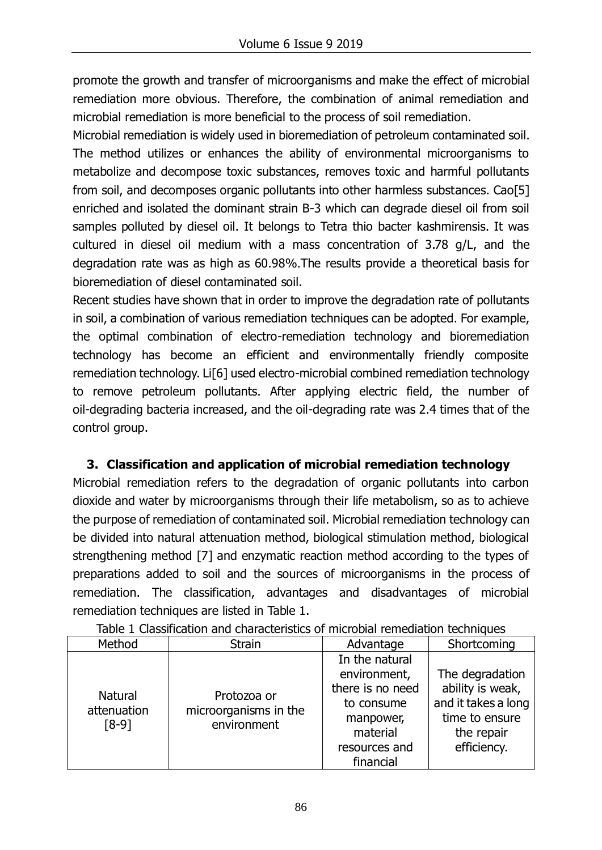promote the growth and transfer of microorganisms and make the effect of microbial remediation more obvious. Therefore, the combination of animal remediation and microbial remediation is more beneficial to the process of soil remediation.

Microbial remediation is widely used in bioremediation of petroleum contaminated soil. The method utilizes or enhances the ability of environmental microorganisms to metabolize and decompose toxic substances, removes toxic and harmful pollutants from soil, and decomposes organic pollutants into other harmless substances. Cao[5] enriched and isolated the dominant strain B-3 which can degrade diesel oil from soil samples polluted by diesel oil. It belongs to Tetra thio bacter kashmirensis. It was cultured in diesel oil medium with a mass concentration of 3.78 g/L, and the degradation rate was as high as 60.98%.The results provide a theoretical basis for bioremediation of diesel contaminated soil.

Recent studies have shown that in order to improve the degradation rate of pollutants in soil, a combination of various remediation techniques can be adopted. For example, the optimal combination of electro-remediation technology and bioremediation technology has become an efficient and environmentally friendly composite remediation technology. Li[6] used electro-microbial combined remediation technology to remove petroleum pollutants. After applying electric field, the number of oil-degrading bacteria increased, and the oil-degrading rate was 2.4 times that of the control group.

## **3. Classification and application of microbial remediation technology**

Microbial remediation refers to the degradation of organic pollutants into carbon dioxide and water by microorganisms through their life metabolism, so as to achieve the purpose of remediation of contaminated soil. Microbial remediation technology can be divided into natural attenuation method, biological stimulation method, biological strengthening method [7] and enzymatic reaction method according to the types of preparations added to soil and the sources of microorganisms in the process of remediation. The classification, advantages and disadvantages of microbial remediation techniques are listed in Table 1.

| Method                                   | <b>Strain</b>                                       | Advantage                                                                                                  | Shortcoming                                                                                               |
|------------------------------------------|-----------------------------------------------------|------------------------------------------------------------------------------------------------------------|-----------------------------------------------------------------------------------------------------------|
| <b>Natural</b><br>attenuation<br>$[8-9]$ | Protozoa or<br>microorganisms in the<br>environment | In the natural<br>environment,<br>there is no need<br>to consume<br>manpower,<br>material<br>resources and | The degradation<br>ability is weak,<br>and it takes a long<br>time to ensure<br>the repair<br>efficiency. |
|                                          |                                                     | financial                                                                                                  |                                                                                                           |

Table 1 Classification and characteristics of microbial remediation techniques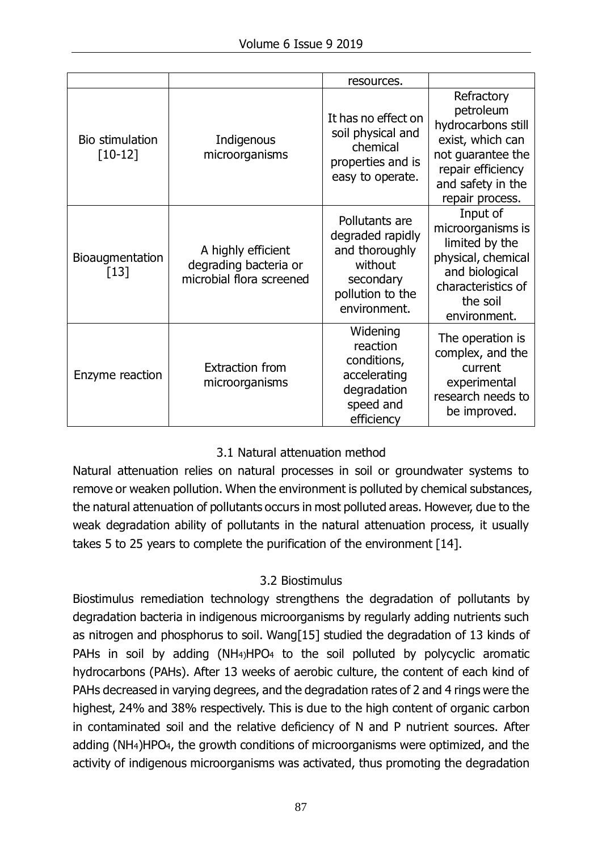|                                  |                                                                         | resources.                                                                                                       |                                                                                                                                                     |
|----------------------------------|-------------------------------------------------------------------------|------------------------------------------------------------------------------------------------------------------|-----------------------------------------------------------------------------------------------------------------------------------------------------|
| Bio stimulation<br>$[10-12]$     | Indigenous<br>microorganisms                                            | It has no effect on<br>soil physical and<br>chemical<br>properties and is<br>easy to operate.                    | Refractory<br>petroleum<br>hydrocarbons still<br>exist, which can<br>not guarantee the<br>repair efficiency<br>and safety in the<br>repair process. |
| <b>Bioaugmentation</b><br>$[13]$ | A highly efficient<br>degrading bacteria or<br>microbial flora screened | Pollutants are<br>degraded rapidly<br>and thoroughly<br>without<br>secondary<br>pollution to the<br>environment. | Input of<br>microorganisms is<br>limited by the<br>physical, chemical<br>and biological<br>characteristics of<br>the soil<br>environment.           |
| Enzyme reaction                  | <b>Extraction from</b><br>microorganisms                                | Widening<br>reaction<br>conditions,<br>accelerating<br>degradation<br>speed and<br>efficiency                    | The operation is<br>complex, and the<br>current<br>experimental<br>research needs to<br>be improved.                                                |

## 3.1 Natural attenuation method

Natural attenuation relies on natural processes in soil or groundwater systems to remove or weaken pollution. When the environment is polluted by chemical substances, the natural attenuation of pollutants occurs in most polluted areas. However, due to the weak degradation ability of pollutants in the natural attenuation process, it usually takes 5 to 25 years to complete the purification of the environment [14].

## 3.2 Biostimulus

Biostimulus remediation technology strengthens the degradation of pollutants by degradation bacteria in indigenous microorganisms by regularly adding nutrients such as nitrogen and phosphorus to soil. Wang[15] studied the degradation of 13 kinds of PAHs in soil by adding (NH<sub>4)</sub>HPO<sub>4</sub> to the soil polluted by polycyclic aromatic hydrocarbons (PAHs). After 13 weeks of aerobic culture, the content of each kind of PAHs decreased in varying degrees, and the degradation rates of 2 and 4 rings were the highest, 24% and 38% respectively. This is due to the high content of organic carbon in contaminated soil and the relative deficiency of N and P nutrient sources. After adding (NH4)HPO4, the growth conditions of microorganisms were optimized, and the activity of indigenous microorganisms was activated, thus promoting the degradation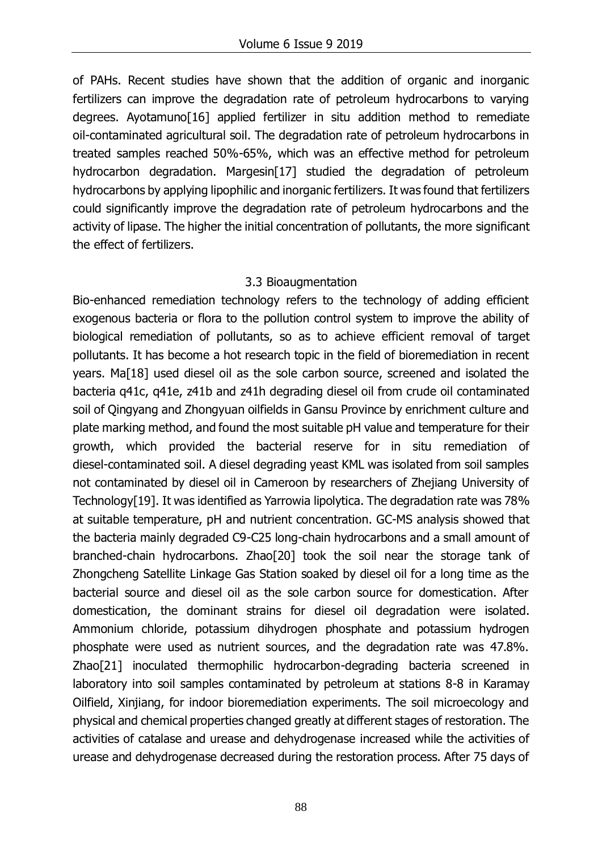of PAHs. Recent studies have shown that the addition of organic and inorganic fertilizers can improve the degradation rate of petroleum hydrocarbons to varying degrees. Ayotamuno[16] applied fertilizer in situ addition method to remediate oil-contaminated agricultural soil. The degradation rate of petroleum hydrocarbons in treated samples reached 50%-65%, which was an effective method for petroleum hydrocarbon degradation. Margesin<sup>[17]</sup> studied the degradation of petroleum hydrocarbons by applying lipophilic and inorganic fertilizers. It was found that fertilizers could significantly improve the degradation rate of petroleum hydrocarbons and the activity of lipase. The higher the initial concentration of pollutants, the more significant the effect of fertilizers.

#### 3.3 Bioaugmentation

Bio-enhanced remediation technology refers to the technology of adding efficient exogenous bacteria or flora to the pollution control system to improve the ability of biological remediation of pollutants, so as to achieve efficient removal of target pollutants. It has become a hot research topic in the field of bioremediation in recent years. Ma[18] used diesel oil as the sole carbon source, screened and isolated the bacteria q41c, q41e, z41b and z41h degrading diesel oil from crude oil contaminated soil of Qingyang and Zhongyuan oilfields in Gansu Province by enrichment culture and plate marking method, and found the most suitable pH value and temperature for their growth, which provided the bacterial reserve for in situ remediation of diesel-contaminated soil. A diesel degrading yeast KML was isolated from soil samples not contaminated by diesel oil in Cameroon by researchers of Zhejiang University of Technology[19]. It was identified as Yarrowia lipolytica. The degradation rate was 78% at suitable temperature, pH and nutrient concentration. GC-MS analysis showed that the bacteria mainly degraded C9-C25 long-chain hydrocarbons and a small amount of branched-chain hydrocarbons. Zhao[20] took the soil near the storage tank of Zhongcheng Satellite Linkage Gas Station soaked by diesel oil for a long time as the bacterial source and diesel oil as the sole carbon source for domestication. After domestication, the dominant strains for diesel oil degradation were isolated. Ammonium chloride, potassium dihydrogen phosphate and potassium hydrogen phosphate were used as nutrient sources, and the degradation rate was 47.8%. Zhao[21] inoculated thermophilic hydrocarbon-degrading bacteria screened in laboratory into soil samples contaminated by petroleum at stations 8-8 in Karamay Oilfield, Xinjiang, for indoor bioremediation experiments. The soil microecology and physical and chemical properties changed greatly at different stages of restoration. The activities of catalase and urease and dehydrogenase increased while the activities of urease and dehydrogenase decreased during the restoration process. After 75 days of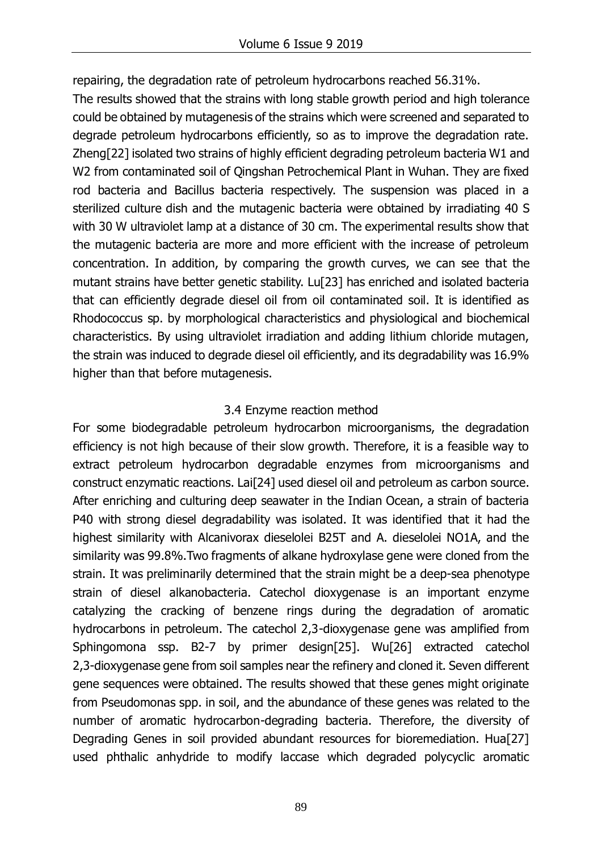repairing, the degradation rate of petroleum hydrocarbons reached 56.31%.

The results showed that the strains with long stable growth period and high tolerance could be obtained by mutagenesis of the strains which were screened and separated to degrade petroleum hydrocarbons efficiently, so as to improve the degradation rate. Zheng[22] isolated two strains of highly efficient degrading petroleum bacteria W1 and W2 from contaminated soil of Qingshan Petrochemical Plant in Wuhan. They are fixed rod bacteria and Bacillus bacteria respectively. The suspension was placed in a sterilized culture dish and the mutagenic bacteria were obtained by irradiating 40 S with 30 W ultraviolet lamp at a distance of 30 cm. The experimental results show that the mutagenic bacteria are more and more efficient with the increase of petroleum concentration. In addition, by comparing the growth curves, we can see that the mutant strains have better genetic stability. Lu[23] has enriched and isolated bacteria that can efficiently degrade diesel oil from oil contaminated soil. It is identified as Rhodococcus sp. by morphological characteristics and physiological and biochemical characteristics. By using ultraviolet irradiation and adding lithium chloride mutagen, the strain was induced to degrade diesel oil efficiently, and its degradability was 16.9% higher than that before mutagenesis.

## 3.4 Enzyme reaction method

For some biodegradable petroleum hydrocarbon microorganisms, the degradation efficiency is not high because of their slow growth. Therefore, it is a feasible way to extract petroleum hydrocarbon degradable enzymes from microorganisms and construct enzymatic reactions. Lai[24] used diesel oil and petroleum as carbon source. After enriching and culturing deep seawater in the Indian Ocean, a strain of bacteria P40 with strong diesel degradability was isolated. It was identified that it had the highest similarity with Alcanivorax dieselolei B25T and A. dieselolei NO1A, and the similarity was 99.8%.Two fragments of alkane hydroxylase gene were cloned from the strain. It was preliminarily determined that the strain might be a deep-sea phenotype strain of diesel alkanobacteria. Catechol dioxygenase is an important enzyme catalyzing the cracking of benzene rings during the degradation of aromatic hydrocarbons in petroleum. The catechol 2,3-dioxygenase gene was amplified from Sphingomona ssp. B2-7 by primer design[25]. Wu[26] extracted catechol 2,3-dioxygenase gene from soil samples near the refinery and cloned it. Seven different gene sequences were obtained. The results showed that these genes might originate from Pseudomonas spp. in soil, and the abundance of these genes was related to the number of aromatic hydrocarbon-degrading bacteria. Therefore, the diversity of Degrading Genes in soil provided abundant resources for bioremediation. Hua[27] used phthalic anhydride to modify laccase which degraded polycyclic aromatic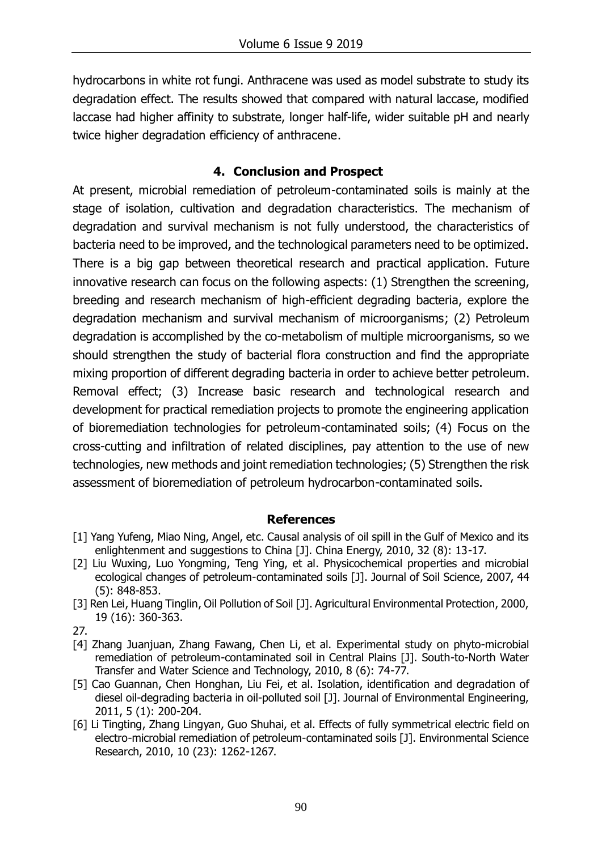hydrocarbons in white rot fungi. Anthracene was used as model substrate to study its degradation effect. The results showed that compared with natural laccase, modified laccase had higher affinity to substrate, longer half-life, wider suitable pH and nearly twice higher degradation efficiency of anthracene.

#### **4. Conclusion and Prospect**

At present, microbial remediation of petroleum-contaminated soils is mainly at the stage of isolation, cultivation and degradation characteristics. The mechanism of degradation and survival mechanism is not fully understood, the characteristics of bacteria need to be improved, and the technological parameters need to be optimized. There is a big gap between theoretical research and practical application. Future innovative research can focus on the following aspects: (1) Strengthen the screening, breeding and research mechanism of high-efficient degrading bacteria, explore the degradation mechanism and survival mechanism of microorganisms; (2) Petroleum degradation is accomplished by the co-metabolism of multiple microorganisms, so we should strengthen the study of bacterial flora construction and find the appropriate mixing proportion of different degrading bacteria in order to achieve better petroleum. Removal effect; (3) Increase basic research and technological research and development for practical remediation projects to promote the engineering application of bioremediation technologies for petroleum-contaminated soils; (4) Focus on the cross-cutting and infiltration of related disciplines, pay attention to the use of new technologies, new methods and joint remediation technologies; (5) Strengthen the risk assessment of bioremediation of petroleum hydrocarbon-contaminated soils.

#### **References**

- [1] Yang Yufeng, Miao Ning, Angel, etc. Causal analysis of oil spill in the Gulf of Mexico and its enlightenment and suggestions to China [J]. China Energy, 2010, 32 (8): 13-17.
- [2] Liu Wuxing, Luo Yongming, Teng Ying, et al. Physicochemical properties and microbial ecological changes of petroleum-contaminated soils [J]. Journal of Soil Science, 2007, 44 (5): 848-853.
- [3] Ren Lei, Huang Tinglin, Oil Pollution of Soil [J]. Agricultural Environmental Protection, 2000, 19 (16): 360-363.
- 27.
- [4] Zhang Juanjuan, Zhang Fawang, Chen Li, et al. Experimental study on phyto-microbial remediation of petroleum-contaminated soil in Central Plains [J]. South-to-North Water Transfer and Water Science and Technology, 2010, 8 (6): 74-77.
- [5] Cao Guannan, Chen Honghan, Liu Fei, et al. Isolation, identification and degradation of diesel oil-degrading bacteria in oil-polluted soil [J]. Journal of Environmental Engineering, 2011, 5 (1): 200-204.
- [6] Li Tingting, Zhang Lingyan, Guo Shuhai, et al. Effects of fully symmetrical electric field on electro-microbial remediation of petroleum-contaminated soils [J]. Environmental Science Research, 2010, 10 (23): 1262-1267.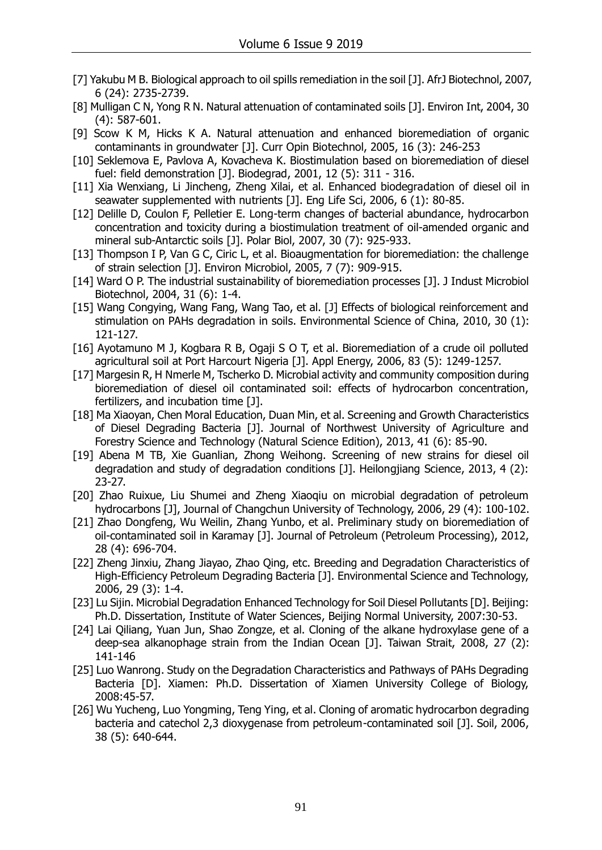- [7] Yakubu M B. Biological approach to oil spills remediation in the soil [J]. AfrJ Biotechnol, 2007, 6 (24): 2735-2739.
- [8] Mulligan C N, Yong R N. Natural attenuation of contaminated soils [J]. Environ Int, 2004, 30 (4): 587-601.
- [9] Scow K M, Hicks K A. Natural attenuation and enhanced bioremediation of organic contaminants in groundwater [J]. Curr Opin Biotechnol, 2005, 16 (3): 246-253
- [10] Seklemova E, Pavlova A, Kovacheva K. Biostimulation based on bioremediation of diesel fuel: field demonstration [J]. Biodegrad, 2001, 12 (5): 311 - 316.
- [11] Xia Wenxiang, Li Jincheng, Zheng Xilai, et al. Enhanced biodegradation of diesel oil in seawater supplemented with nutrients [J]. Eng Life Sci, 2006, 6 (1): 80-85.
- [12] Delille D, Coulon F, Pelletier E. Long-term changes of bacterial abundance, hydrocarbon concentration and toxicity during a biostimulation treatment of oil-amended organic and mineral sub-Antarctic soils [J]. Polar Biol, 2007, 30 (7): 925-933.
- [13] Thompson I P, Van G C, Ciric L, et al. Bioaugmentation for bioremediation: the challenge of strain selection [J]. Environ Microbiol, 2005, 7 (7): 909-915.
- [14] Ward O P. The industrial sustainability of bioremediation processes [J]. J Indust Microbiol Biotechnol, 2004, 31 (6): 1-4.
- [15] Wang Congying, Wang Fang, Wang Tao, et al. [J] Effects of biological reinforcement and stimulation on PAHs degradation in soils. Environmental Science of China, 2010, 30 (1): 121-127.
- [16] Ayotamuno M J, Kogbara R B, Ogaji S O T, et al. Bioremediation of a crude oil polluted agricultural soil at Port Harcourt Nigeria [J]. Appl Energy, 2006, 83 (5): 1249-1257.
- [17] Margesin R, H Nmerle M, Tscherko D. Microbial activity and community composition during bioremediation of diesel oil contaminated soil: effects of hydrocarbon concentration, fertilizers, and incubation time [J].
- [18] Ma Xiaoyan, Chen Moral Education, Duan Min, et al. Screening and Growth Characteristics of Diesel Degrading Bacteria [J]. Journal of Northwest University of Agriculture and Forestry Science and Technology (Natural Science Edition), 2013, 41 (6): 85-90.
- [19] Abena M TB, Xie Guanlian, Zhong Weihong. Screening of new strains for diesel oil degradation and study of degradation conditions [J]. Heilongjiang Science, 2013, 4 (2): 23-27.
- [20] Zhao Ruixue, Liu Shumei and Zheng Xiaoqiu on microbial degradation of petroleum hydrocarbons [J], Journal of Changchun University of Technology, 2006, 29 (4): 100-102.
- [21] Zhao Dongfeng, Wu Weilin, Zhang Yunbo, et al. Preliminary study on bioremediation of oil-contaminated soil in Karamay [J]. Journal of Petroleum (Petroleum Processing), 2012, 28 (4): 696-704.
- [22] Zheng Jinxiu, Zhang Jiayao, Zhao Qing, etc. Breeding and Degradation Characteristics of High-Efficiency Petroleum Degrading Bacteria [J]. Environmental Science and Technology, 2006, 29 (3): 1-4.
- [23] Lu Sijin. Microbial Degradation Enhanced Technology for Soil Diesel Pollutants [D]. Beijing: Ph.D. Dissertation, Institute of Water Sciences, Beijing Normal University, 2007:30-53.
- [24] Lai Qiliang, Yuan Jun, Shao Zongze, et al. Cloning of the alkane hydroxylase gene of a deep-sea alkanophage strain from the Indian Ocean [J]. Taiwan Strait, 2008, 27 (2): 141-146
- [25] Luo Wanrong. Study on the Degradation Characteristics and Pathways of PAHs Degrading Bacteria [D]. Xiamen: Ph.D. Dissertation of Xiamen University College of Biology, 2008:45-57.
- [26] Wu Yucheng, Luo Yongming, Teng Ying, et al. Cloning of aromatic hydrocarbon degrading bacteria and catechol 2,3 dioxygenase from petroleum-contaminated soil [J]. Soil, 2006, 38 (5): 640-644.